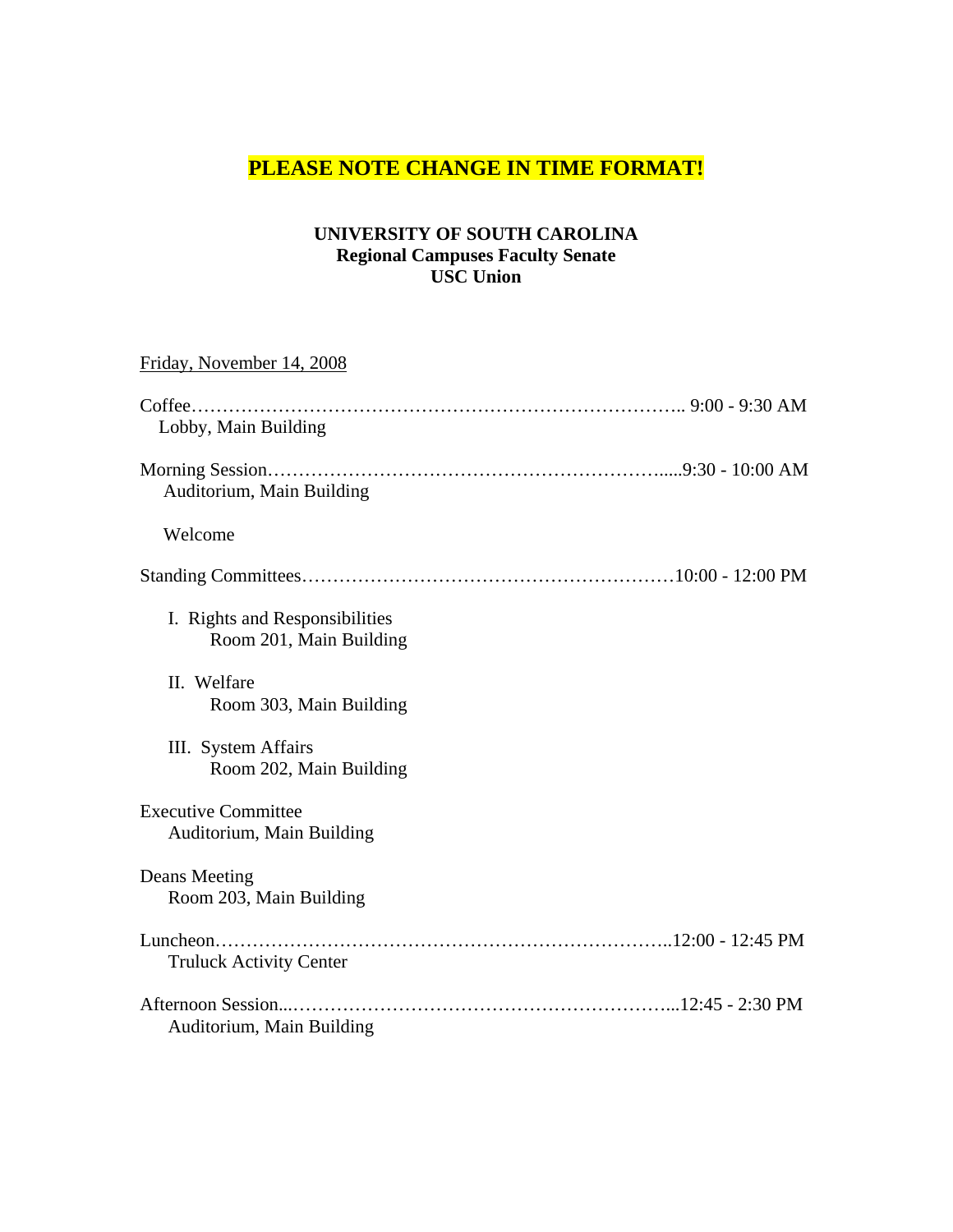### **PLEASE NOTE CHANGE IN TIME FORMAT!**

#### **UNIVERSITY OF SOUTH CAROLINA Regional Campuses Faculty Senate USC Union**

# Friday, November 14, 2008 Coffee…………………………………………………………………….. 9:00 - 9:30 AM Lobby, Main Building Morning Session……………………………………………………….....9:30 - 10:00 AM Auditorium, Main Building Welcome Standing Committees……………………………………………………10:00 - 12:00 PM I. Rights and Responsibilities Room 201, Main Building II. Welfare Room 303, Main Building III. System Affairs Room 202, Main Building Executive Committee Auditorium, Main Building Deans Meeting Room 203, Main Building Luncheon………………………………………………………………..12:00 - 12:45 PM Truluck Activity Center Afternoon Session...……………………………………………………...12:45 - 2:30 PM Auditorium, Main Building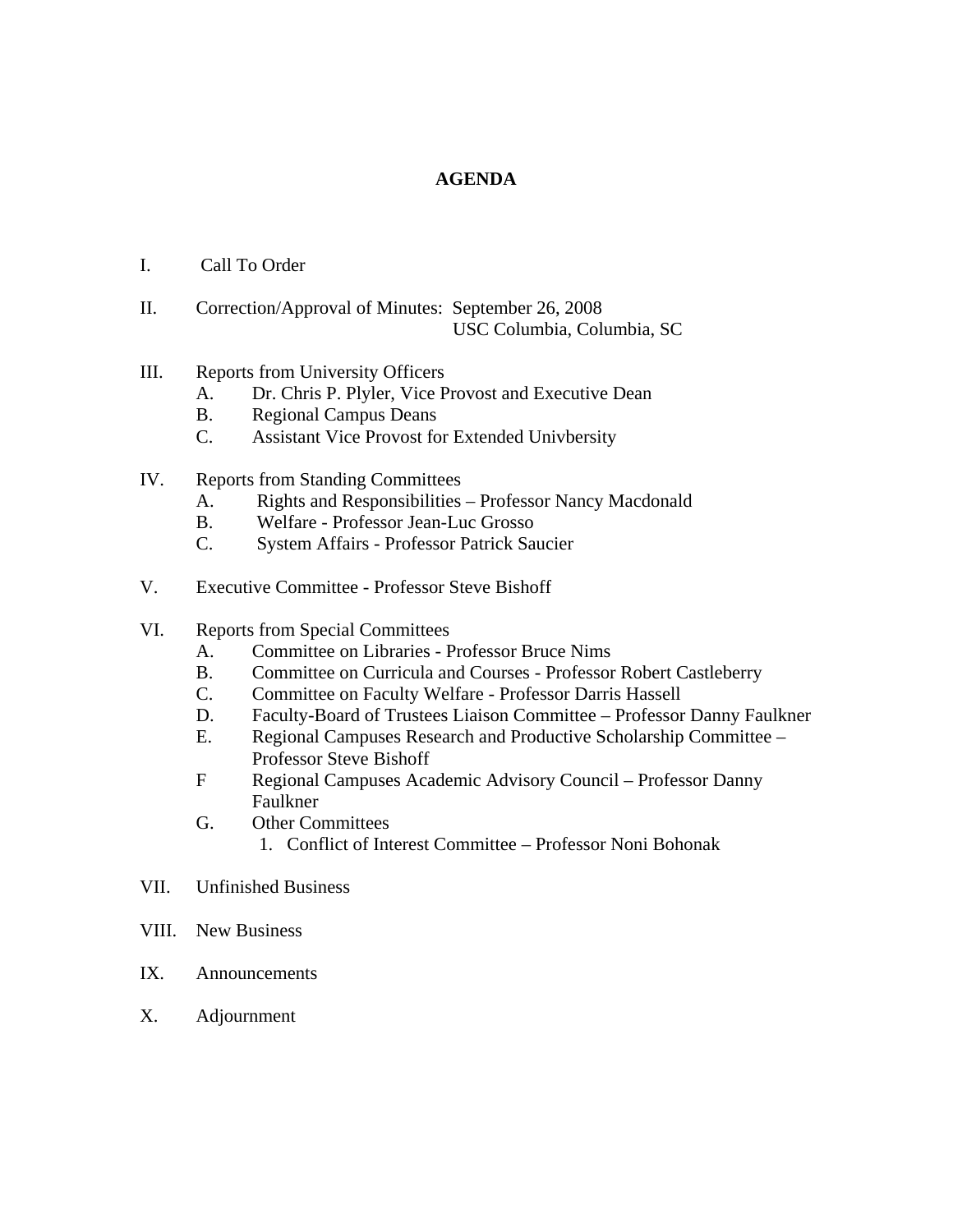#### **AGENDA**

- I. Call To Order
- II. Correction/Approval of Minutes: September 26, 2008 USC Columbia, Columbia, SC

#### III. Reports from University Officers

- A. Dr. Chris P. Plyler, Vice Provost and Executive Dean
- B. Regional Campus Deans
- C. Assistant Vice Provost for Extended Univbersity
- IV. Reports from Standing Committees
	- A. Rights and Responsibilities Professor Nancy Macdonald
	- B. Welfare Professor Jean-Luc Grosso
	- C. System Affairs Professor Patrick Saucier
- V. Executive Committee Professor Steve Bishoff

#### VI. Reports from Special Committees

- A. Committee on Libraries Professor Bruce Nims
- B. Committee on Curricula and Courses Professor Robert Castleberry
- C. Committee on Faculty Welfare Professor Darris Hassell
- D. Faculty-Board of Trustees Liaison Committee Professor Danny Faulkner
- E. Regional Campuses Research and Productive Scholarship Committee Professor Steve Bishoff
- F Regional Campuses Academic Advisory Council Professor Danny Faulkner
- G. Other Committees
	- 1. Conflict of Interest Committee Professor Noni Bohonak
- VII. Unfinished Business
- VIII. New Business
- IX. Announcements
- X. Adjournment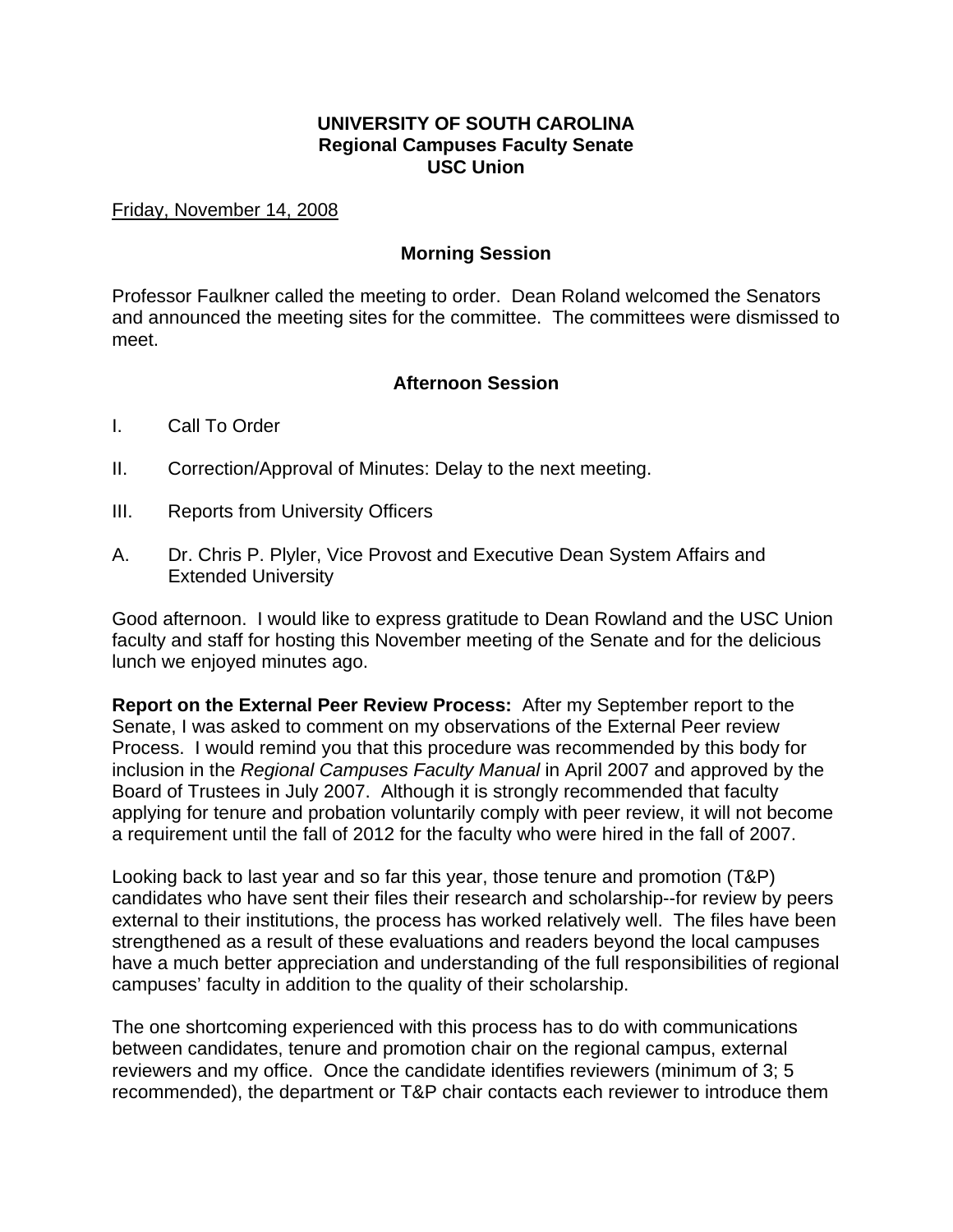### **UNIVERSITY OF SOUTH CAROLINA Regional Campuses Faculty Senate USC Union**

Friday, November 14, 2008

#### **Morning Session**

Professor Faulkner called the meeting to order. Dean Roland welcomed the Senators and announced the meeting sites for the committee. The committees were dismissed to meet.

#### **Afternoon Session**

- I. Call To Order
- II. Correction/Approval of Minutes: Delay to the next meeting.
- III. Reports from University Officers
- A. Dr. Chris P. Plyler, Vice Provost and Executive Dean System Affairs and Extended University

Good afternoon. I would like to express gratitude to Dean Rowland and the USC Union faculty and staff for hosting this November meeting of the Senate and for the delicious lunch we enjoyed minutes ago.

**Report on the External Peer Review Process:** After my September report to the Senate, I was asked to comment on my observations of the External Peer review Process. I would remind you that this procedure was recommended by this body for inclusion in the *Regional Campuses Faculty Manual* in April 2007 and approved by the Board of Trustees in July 2007. Although it is strongly recommended that faculty applying for tenure and probation voluntarily comply with peer review, it will not become a requirement until the fall of 2012 for the faculty who were hired in the fall of 2007.

Looking back to last year and so far this year, those tenure and promotion (T&P) candidates who have sent their files their research and scholarship--for review by peers external to their institutions, the process has worked relatively well. The files have been strengthened as a result of these evaluations and readers beyond the local campuses have a much better appreciation and understanding of the full responsibilities of regional campuses' faculty in addition to the quality of their scholarship.

The one shortcoming experienced with this process has to do with communications between candidates, tenure and promotion chair on the regional campus, external reviewers and my office. Once the candidate identifies reviewers (minimum of 3; 5 recommended), the department or T&P chair contacts each reviewer to introduce them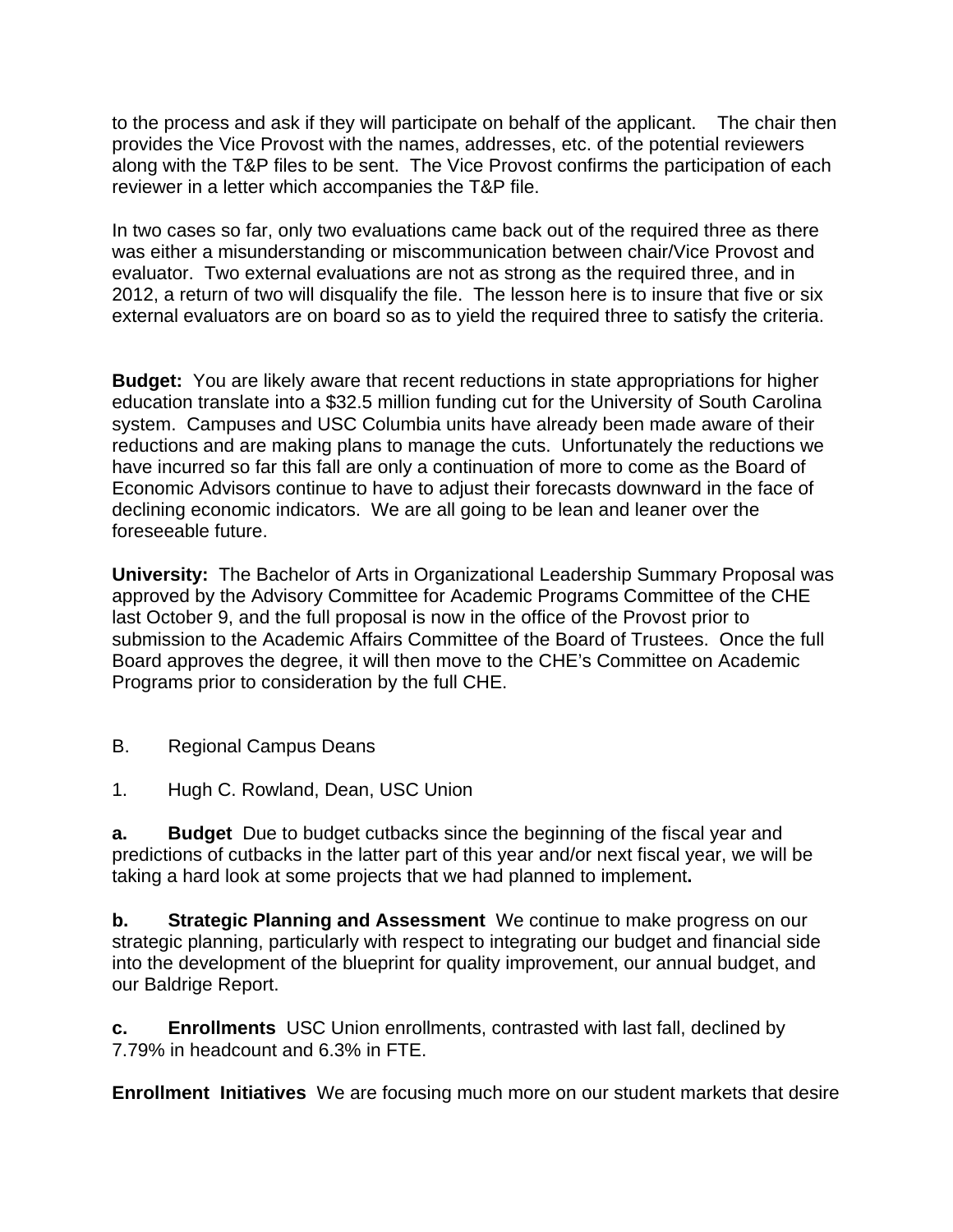to the process and ask if they will participate on behalf of the applicant. The chair then provides the Vice Provost with the names, addresses, etc. of the potential reviewers along with the T&P files to be sent. The Vice Provost confirms the participation of each reviewer in a letter which accompanies the T&P file.

In two cases so far, only two evaluations came back out of the required three as there was either a misunderstanding or miscommunication between chair/Vice Provost and evaluator. Two external evaluations are not as strong as the required three, and in 2012, a return of two will disqualify the file. The lesson here is to insure that five or six external evaluators are on board so as to yield the required three to satisfy the criteria.

**Budget:** You are likely aware that recent reductions in state appropriations for higher education translate into a \$32.5 million funding cut for the University of South Carolina system. Campuses and USC Columbia units have already been made aware of their reductions and are making plans to manage the cuts. Unfortunately the reductions we have incurred so far this fall are only a continuation of more to come as the Board of Economic Advisors continue to have to adjust their forecasts downward in the face of declining economic indicators. We are all going to be lean and leaner over the foreseeable future.

**University:** The Bachelor of Arts in Organizational Leadership Summary Proposal was approved by the Advisory Committee for Academic Programs Committee of the CHE last October 9, and the full proposal is now in the office of the Provost prior to submission to the Academic Affairs Committee of the Board of Trustees. Once the full Board approves the degree, it will then move to the CHE's Committee on Academic Programs prior to consideration by the full CHE.

- B. Regional Campus Deans
- 1. Hugh C. Rowland, Dean, USC Union

**a. Budget** Due to budget cutbacks since the beginning of the fiscal year and predictions of cutbacks in the latter part of this year and/or next fiscal year, we will be taking a hard look at some projects that we had planned to implement**.** 

**b. Strategic Planning and Assessment** We continue to make progress on our strategic planning, particularly with respect to integrating our budget and financial side into the development of the blueprint for quality improvement, our annual budget, and our Baldrige Report.

**c. Enrollments** USC Union enrollments, contrasted with last fall, declined by 7.79% in headcount and 6.3% in FTE.

**Enrollment Initiatives** We are focusing much more on our student markets that desire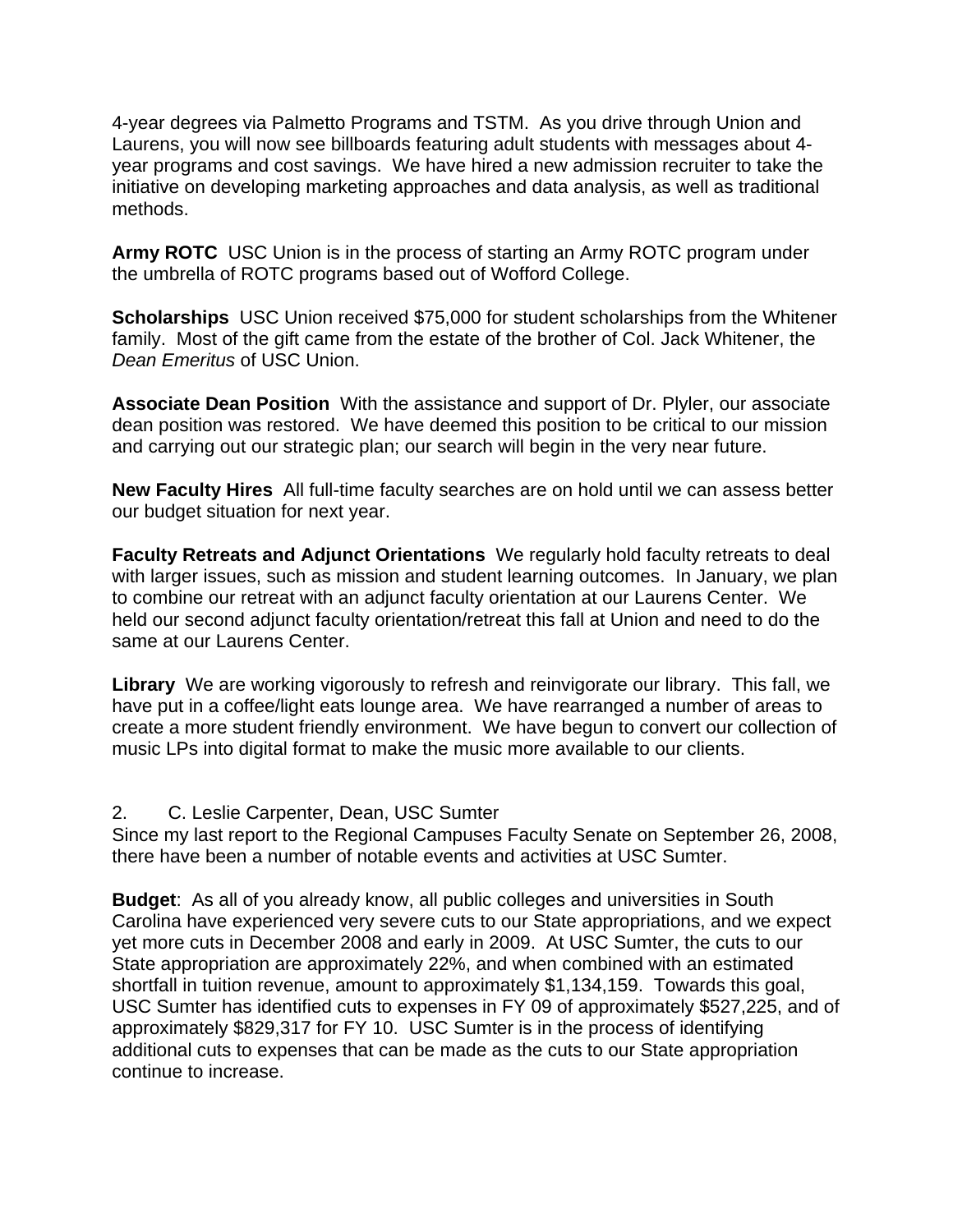4-year degrees via Palmetto Programs and TSTM. As you drive through Union and Laurens, you will now see billboards featuring adult students with messages about 4 year programs and cost savings. We have hired a new admission recruiter to take the initiative on developing marketing approaches and data analysis, as well as traditional methods.

**Army ROTC** USC Union is in the process of starting an Army ROTC program under the umbrella of ROTC programs based out of Wofford College.

**Scholarships** USC Union received \$75,000 for student scholarships from the Whitener family. Most of the gift came from the estate of the brother of Col. Jack Whitener, the *Dean Emeritus* of USC Union.

**Associate Dean Position** With the assistance and support of Dr. Plyler, our associate dean position was restored. We have deemed this position to be critical to our mission and carrying out our strategic plan; our search will begin in the very near future.

**New Faculty Hires** All full-time faculty searches are on hold until we can assess better our budget situation for next year.

**Faculty Retreats and Adjunct Orientations** We regularly hold faculty retreats to deal with larger issues, such as mission and student learning outcomes. In January, we plan to combine our retreat with an adjunct faculty orientation at our Laurens Center. We held our second adjunct faculty orientation/retreat this fall at Union and need to do the same at our Laurens Center.

**Library** We are working vigorously to refresh and reinvigorate our library. This fall, we have put in a coffee/light eats lounge area. We have rearranged a number of areas to create a more student friendly environment. We have begun to convert our collection of music LPs into digital format to make the music more available to our clients.

2. C. Leslie Carpenter, Dean, USC Sumter

Since my last report to the Regional Campuses Faculty Senate on September 26, 2008, there have been a number of notable events and activities at USC Sumter.

**Budget**: As all of you already know, all public colleges and universities in South Carolina have experienced very severe cuts to our State appropriations, and we expect yet more cuts in December 2008 and early in 2009. At USC Sumter, the cuts to our State appropriation are approximately 22%, and when combined with an estimated shortfall in tuition revenue, amount to approximately \$1,134,159. Towards this goal, USC Sumter has identified cuts to expenses in FY 09 of approximately \$527,225, and of approximately \$829,317 for FY 10. USC Sumter is in the process of identifying additional cuts to expenses that can be made as the cuts to our State appropriation continue to increase.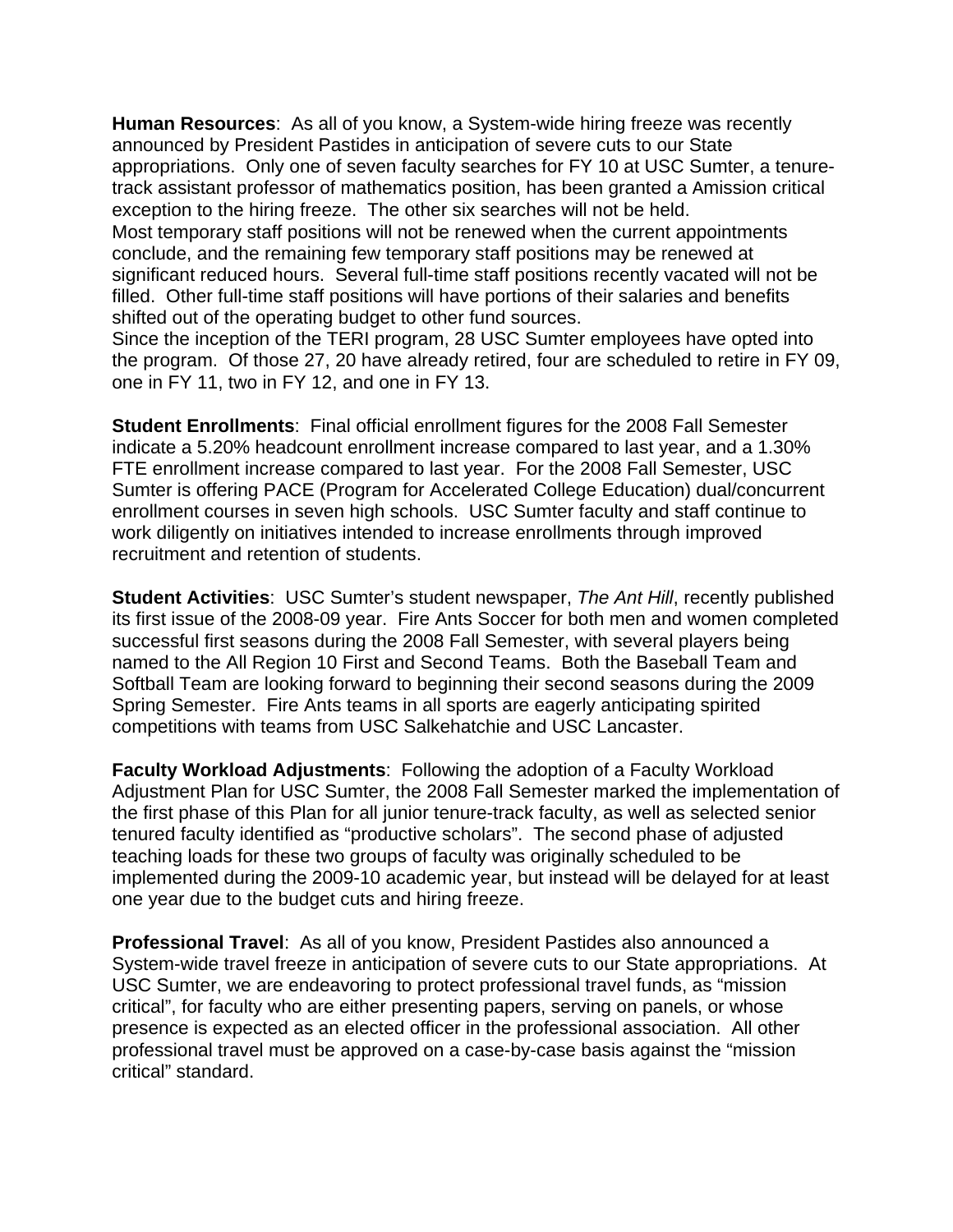**Human Resources**: As all of you know, a System-wide hiring freeze was recently announced by President Pastides in anticipation of severe cuts to our State appropriations. Only one of seven faculty searches for FY 10 at USC Sumter, a tenuretrack assistant professor of mathematics position, has been granted a Amission critical exception to the hiring freeze. The other six searches will not be held. Most temporary staff positions will not be renewed when the current appointments conclude, and the remaining few temporary staff positions may be renewed at significant reduced hours. Several full-time staff positions recently vacated will not be filled. Other full-time staff positions will have portions of their salaries and benefits shifted out of the operating budget to other fund sources.

Since the inception of the TERI program, 28 USC Sumter employees have opted into the program. Of those 27, 20 have already retired, four are scheduled to retire in FY 09, one in FY 11, two in FY 12, and one in FY 13.

**Student Enrollments**: Final official enrollment figures for the 2008 Fall Semester indicate a 5.20% headcount enrollment increase compared to last year, and a 1.30% FTE enrollment increase compared to last year. For the 2008 Fall Semester, USC Sumter is offering PACE (Program for Accelerated College Education) dual/concurrent enrollment courses in seven high schools. USC Sumter faculty and staff continue to work diligently on initiatives intended to increase enrollments through improved recruitment and retention of students.

**Student Activities**: USC Sumter's student newspaper, *The Ant Hill*, recently published its first issue of the 2008-09 year. Fire Ants Soccer for both men and women completed successful first seasons during the 2008 Fall Semester, with several players being named to the All Region 10 First and Second Teams. Both the Baseball Team and Softball Team are looking forward to beginning their second seasons during the 2009 Spring Semester. Fire Ants teams in all sports are eagerly anticipating spirited competitions with teams from USC Salkehatchie and USC Lancaster.

**Faculty Workload Adjustments**: Following the adoption of a Faculty Workload Adjustment Plan for USC Sumter, the 2008 Fall Semester marked the implementation of the first phase of this Plan for all junior tenure-track faculty, as well as selected senior tenured faculty identified as "productive scholars". The second phase of adjusted teaching loads for these two groups of faculty was originally scheduled to be implemented during the 2009-10 academic year, but instead will be delayed for at least one year due to the budget cuts and hiring freeze.

**Professional Travel**: As all of you know, President Pastides also announced a System-wide travel freeze in anticipation of severe cuts to our State appropriations. At USC Sumter, we are endeavoring to protect professional travel funds, as "mission critical", for faculty who are either presenting papers, serving on panels, or whose presence is expected as an elected officer in the professional association. All other professional travel must be approved on a case-by-case basis against the "mission critical" standard.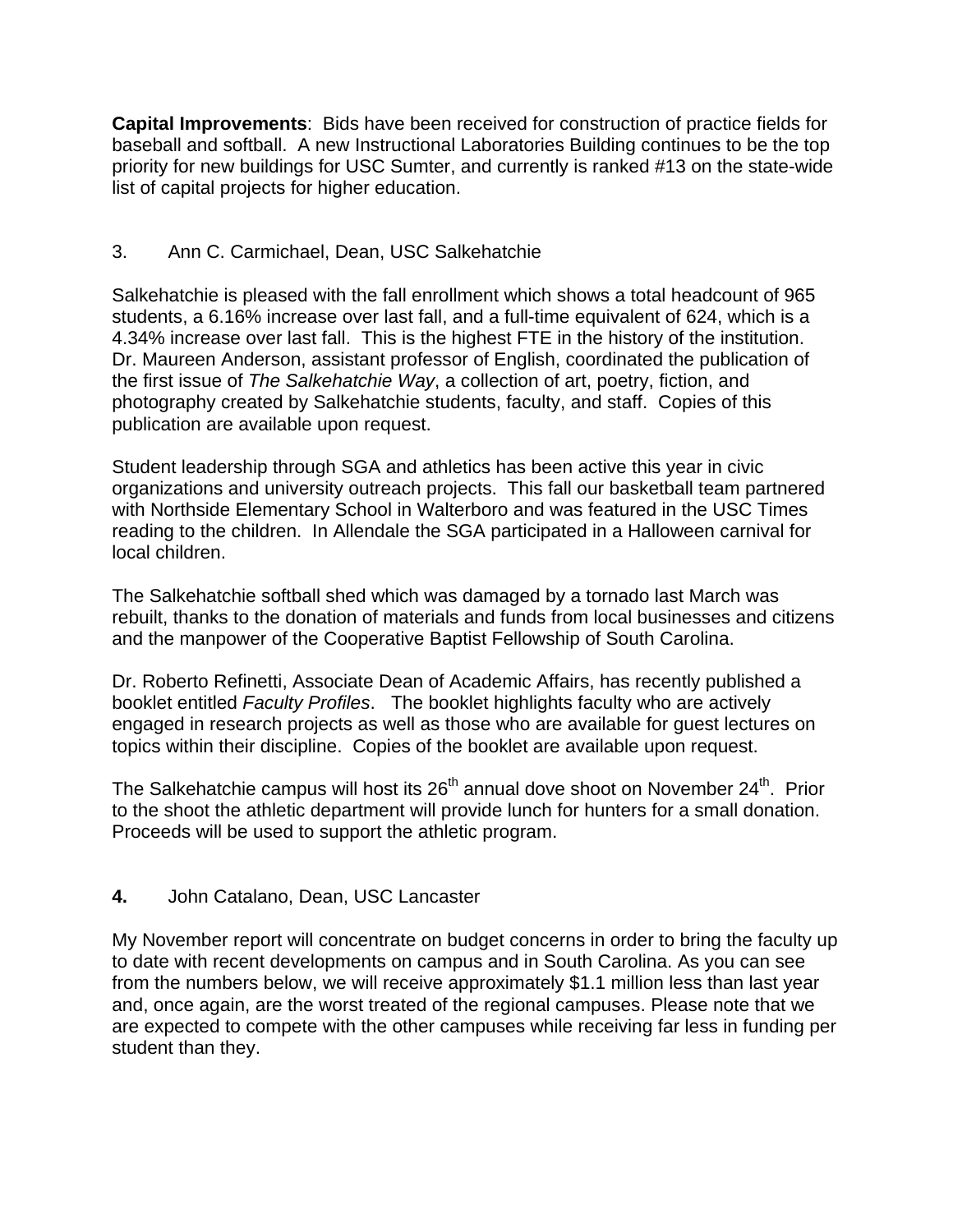**Capital Improvements**: Bids have been received for construction of practice fields for baseball and softball. A new Instructional Laboratories Building continues to be the top priority for new buildings for USC Sumter, and currently is ranked #13 on the state-wide list of capital projects for higher education.

# 3. Ann C. Carmichael, Dean, USC Salkehatchie

Salkehatchie is pleased with the fall enrollment which shows a total headcount of 965 students, a 6.16% increase over last fall, and a full-time equivalent of 624, which is a 4.34% increase over last fall. This is the highest FTE in the history of the institution. Dr. Maureen Anderson, assistant professor of English, coordinated the publication of the first issue of *The Salkehatchie Way*, a collection of art, poetry, fiction, and photography created by Salkehatchie students, faculty, and staff. Copies of this publication are available upon request.

Student leadership through SGA and athletics has been active this year in civic organizations and university outreach projects. This fall our basketball team partnered with Northside Elementary School in Walterboro and was featured in the USC Times reading to the children. In Allendale the SGA participated in a Halloween carnival for local children.

The Salkehatchie softball shed which was damaged by a tornado last March was rebuilt, thanks to the donation of materials and funds from local businesses and citizens and the manpower of the Cooperative Baptist Fellowship of South Carolina.

Dr. Roberto Refinetti, Associate Dean of Academic Affairs, has recently published a booklet entitled *Faculty Profiles*. The booklet highlights faculty who are actively engaged in research projects as well as those who are available for guest lectures on topics within their discipline. Copies of the booklet are available upon request.

The Salkehatchie campus will host its  $26<sup>th</sup>$  annual dove shoot on November  $24<sup>th</sup>$ . Prior to the shoot the athletic department will provide lunch for hunters for a small donation. Proceeds will be used to support the athletic program.

# **4.** John Catalano, Dean, USC Lancaster

My November report will concentrate on budget concerns in order to bring the faculty up to date with recent developments on campus and in South Carolina. As you can see from the numbers below, we will receive approximately \$1.1 million less than last year and, once again, are the worst treated of the regional campuses. Please note that we are expected to compete with the other campuses while receiving far less in funding per student than they.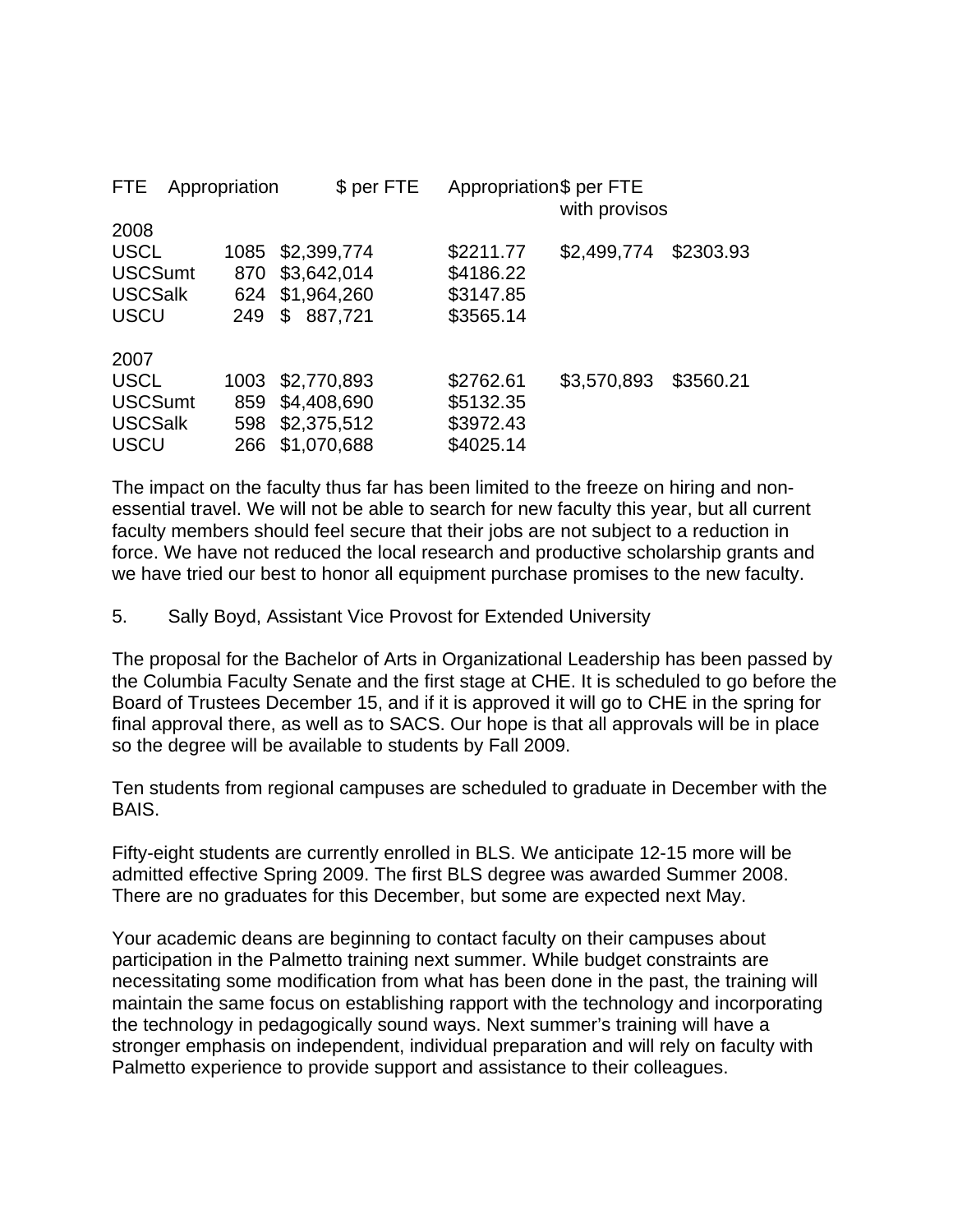| <b>FTE</b>     | Appropriation |      | $$$ per FTE   | Appropriation\$ per FTE | with provisos |           |
|----------------|---------------|------|---------------|-------------------------|---------------|-----------|
| 2008           |               |      |               |                         |               |           |
| <b>USCL</b>    |               | 1085 | \$2,399,774   | \$2211.77               | \$2,499,774   | \$2303.93 |
| <b>USCSumt</b> |               | 870  | \$3,642,014   | \$4186.22               |               |           |
| <b>USCSalk</b> |               | 624  | \$1,964,260   | \$3147.85               |               |           |
| <b>USCU</b>    |               | 249  | \$<br>887,721 | \$3565.14               |               |           |
| 2007           |               |      |               |                         |               |           |
| <b>USCL</b>    |               | 1003 | \$2,770,893   | \$2762.61               | \$3,570,893   | \$3560.21 |
| <b>USCSumt</b> |               | 859  | \$4,408,690   | \$5132.35               |               |           |
| <b>USCSalk</b> |               | 598  | \$2,375,512   | \$3972.43               |               |           |
| <b>USCU</b>    |               | 266  | \$1,070,688   | \$4025.14               |               |           |

The impact on the faculty thus far has been limited to the freeze on hiring and nonessential travel. We will not be able to search for new faculty this year, but all current faculty members should feel secure that their jobs are not subject to a reduction in force. We have not reduced the local research and productive scholarship grants and we have tried our best to honor all equipment purchase promises to the new faculty.

5. Sally Boyd, Assistant Vice Provost for Extended University

The proposal for the Bachelor of Arts in Organizational Leadership has been passed by the Columbia Faculty Senate and the first stage at CHE. It is scheduled to go before the Board of Trustees December 15, and if it is approved it will go to CHE in the spring for final approval there, as well as to SACS. Our hope is that all approvals will be in place so the degree will be available to students by Fall 2009.

Ten students from regional campuses are scheduled to graduate in December with the BAIS.

Fifty-eight students are currently enrolled in BLS. We anticipate 12-15 more will be admitted effective Spring 2009. The first BLS degree was awarded Summer 2008. There are no graduates for this December, but some are expected next May.

Your academic deans are beginning to contact faculty on their campuses about participation in the Palmetto training next summer. While budget constraints are necessitating some modification from what has been done in the past, the training will maintain the same focus on establishing rapport with the technology and incorporating the technology in pedagogically sound ways. Next summer's training will have a stronger emphasis on independent, individual preparation and will rely on faculty with Palmetto experience to provide support and assistance to their colleagues.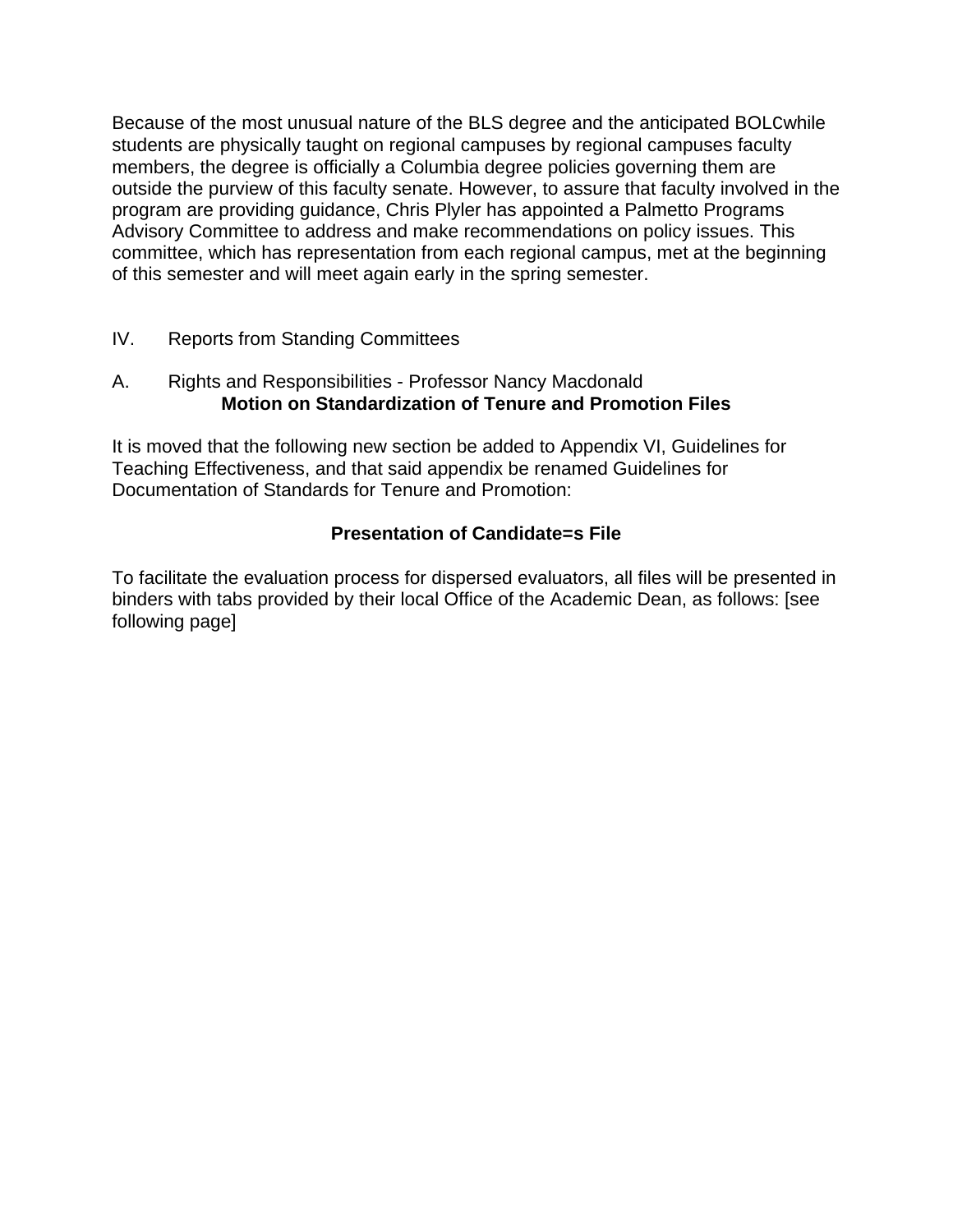Because of the most unusual nature of the BLS degree and the anticipated BOLCwhile students are physically taught on regional campuses by regional campuses faculty members, the degree is officially a Columbia degree policies governing them are outside the purview of this faculty senate. However, to assure that faculty involved in the program are providing guidance, Chris Plyler has appointed a Palmetto Programs Advisory Committee to address and make recommendations on policy issues. This committee, which has representation from each regional campus, met at the beginning of this semester and will meet again early in the spring semester.

# IV. Reports from Standing Committees

### A. Rights and Responsibilities - Professor Nancy Macdonald **Motion on Standardization of Tenure and Promotion Files**

It is moved that the following new section be added to Appendix VI, Guidelines for Teaching Effectiveness, and that said appendix be renamed Guidelines for Documentation of Standards for Tenure and Promotion:

# **Presentation of Candidate=s File**

To facilitate the evaluation process for dispersed evaluators, all files will be presented in binders with tabs provided by their local Office of the Academic Dean, as follows: [see following page]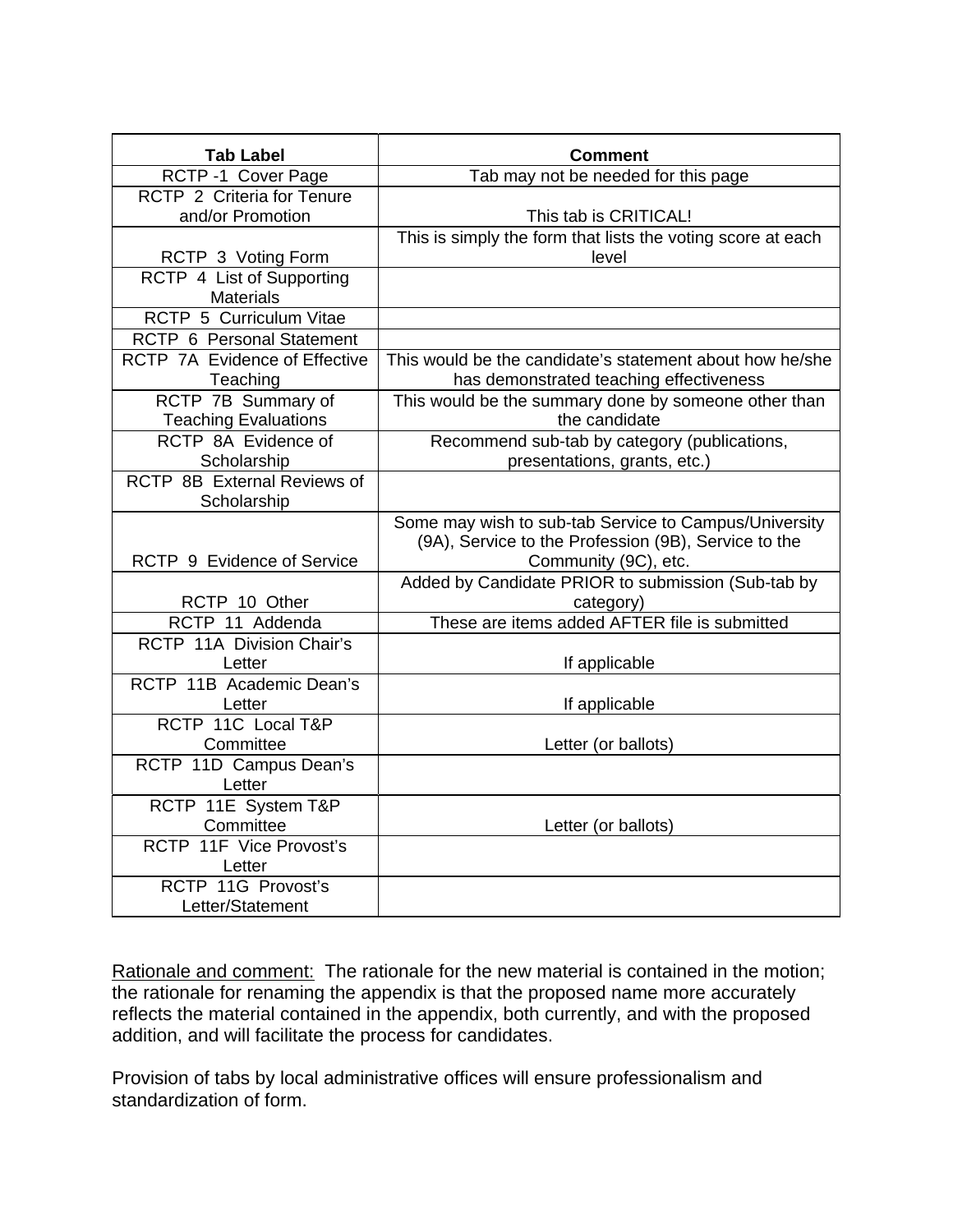| <b>Tab Label</b>                                  | <b>Comment</b>                                                                                                                        |  |
|---------------------------------------------------|---------------------------------------------------------------------------------------------------------------------------------------|--|
| RCTP -1 Cover Page                                | Tab may not be needed for this page                                                                                                   |  |
| RCTP 2 Criteria for Tenure                        |                                                                                                                                       |  |
| and/or Promotion                                  | This tab is CRITICAL!                                                                                                                 |  |
|                                                   | This is simply the form that lists the voting score at each                                                                           |  |
| RCTP 3 Voting Form                                | level                                                                                                                                 |  |
| RCTP 4 List of Supporting<br><b>Materials</b>     |                                                                                                                                       |  |
| RCTP 5 Curriculum Vitae                           |                                                                                                                                       |  |
| RCTP 6 Personal Statement                         |                                                                                                                                       |  |
| RCTP 7A Evidence of Effective<br>Teaching         | This would be the candidate's statement about how he/she<br>has demonstrated teaching effectiveness                                   |  |
| RCTP 7B Summary of<br><b>Teaching Evaluations</b> | This would be the summary done by someone other than<br>the candidate                                                                 |  |
| RCTP 8A Evidence of<br>Scholarship                | Recommend sub-tab by category (publications,<br>presentations, grants, etc.)                                                          |  |
| RCTP 8B External Reviews of<br>Scholarship        |                                                                                                                                       |  |
| RCTP 9 Evidence of Service                        | Some may wish to sub-tab Service to Campus/University<br>(9A), Service to the Profession (9B), Service to the<br>Community (9C), etc. |  |
|                                                   | Added by Candidate PRIOR to submission (Sub-tab by                                                                                    |  |
| RCTP 10 Other<br>RCTP 11 Addenda                  | category)<br>These are items added AFTER file is submitted                                                                            |  |
| RCTP 11A Division Chair's                         |                                                                                                                                       |  |
| Letter                                            | If applicable                                                                                                                         |  |
| RCTP 11B Academic Dean's<br>Letter                | If applicable                                                                                                                         |  |
| RCTP 11C Local T&P                                |                                                                                                                                       |  |
| Committee                                         | Letter (or ballots)                                                                                                                   |  |
| RCTP 11D Campus Dean's                            |                                                                                                                                       |  |
| Letter                                            |                                                                                                                                       |  |
| RCTP 11E System T&P                               |                                                                                                                                       |  |
| Committee                                         | Letter (or ballots)                                                                                                                   |  |
| RCTP 11F Vice Provost's                           |                                                                                                                                       |  |
| Letter                                            |                                                                                                                                       |  |
| RCTP 11G Provost's                                |                                                                                                                                       |  |
| Letter/Statement                                  |                                                                                                                                       |  |

Rationale and comment: The rationale for the new material is contained in the motion; the rationale for renaming the appendix is that the proposed name more accurately reflects the material contained in the appendix, both currently, and with the proposed addition, and will facilitate the process for candidates.

Provision of tabs by local administrative offices will ensure professionalism and standardization of form.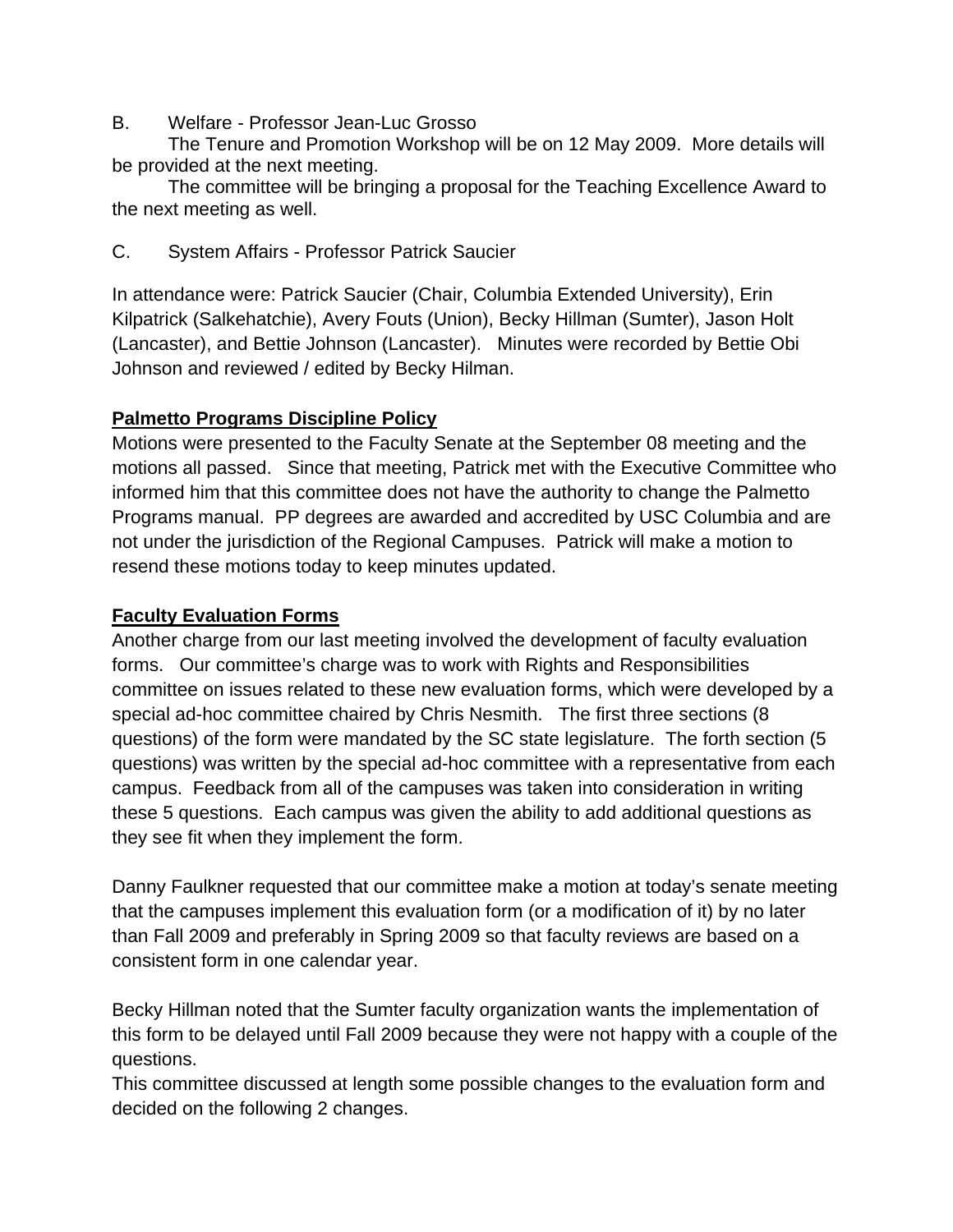B. Welfare - Professor Jean-Luc Grosso

The Tenure and Promotion Workshop will be on 12 May 2009. More details will be provided at the next meeting.

The committee will be bringing a proposal for the Teaching Excellence Award to the next meeting as well.

C. System Affairs - Professor Patrick Saucier

In attendance were: Patrick Saucier (Chair, Columbia Extended University), Erin Kilpatrick (Salkehatchie), Avery Fouts (Union), Becky Hillman (Sumter), Jason Holt (Lancaster), and Bettie Johnson (Lancaster). Minutes were recorded by Bettie Obi Johnson and reviewed / edited by Becky Hilman.

# **Palmetto Programs Discipline Policy**

Motions were presented to the Faculty Senate at the September 08 meeting and the motions all passed. Since that meeting, Patrick met with the Executive Committee who informed him that this committee does not have the authority to change the Palmetto Programs manual. PP degrees are awarded and accredited by USC Columbia and are not under the jurisdiction of the Regional Campuses. Patrick will make a motion to resend these motions today to keep minutes updated.

# **Faculty Evaluation Forms**

Another charge from our last meeting involved the development of faculty evaluation forms. Our committee's charge was to work with Rights and Responsibilities committee on issues related to these new evaluation forms, which were developed by a special ad-hoc committee chaired by Chris Nesmith. The first three sections (8 questions) of the form were mandated by the SC state legislature. The forth section (5 questions) was written by the special ad-hoc committee with a representative from each campus. Feedback from all of the campuses was taken into consideration in writing these 5 questions. Each campus was given the ability to add additional questions as they see fit when they implement the form.

Danny Faulkner requested that our committee make a motion at today's senate meeting that the campuses implement this evaluation form (or a modification of it) by no later than Fall 2009 and preferably in Spring 2009 so that faculty reviews are based on a consistent form in one calendar year.

Becky Hillman noted that the Sumter faculty organization wants the implementation of this form to be delayed until Fall 2009 because they were not happy with a couple of the questions.

This committee discussed at length some possible changes to the evaluation form and decided on the following 2 changes.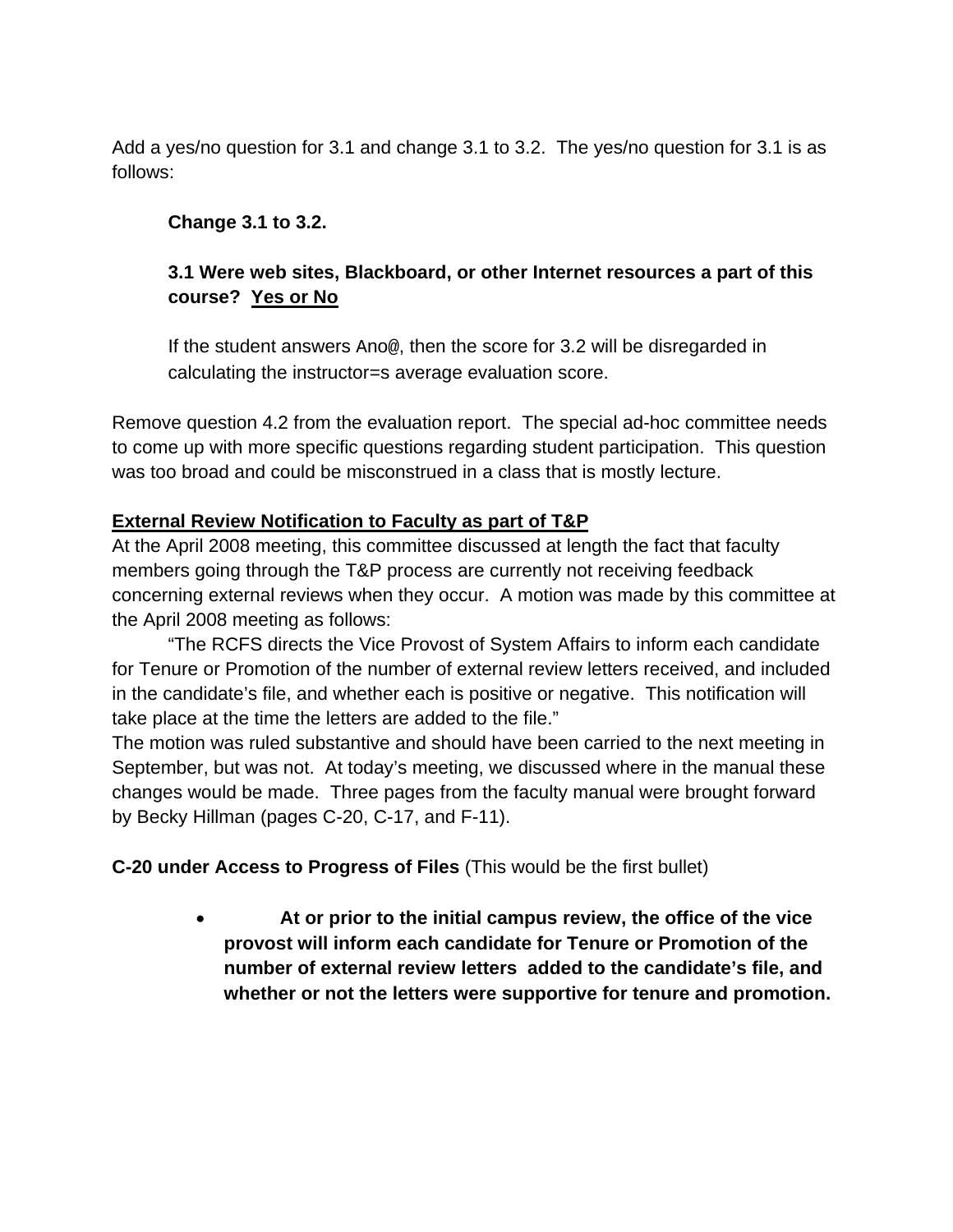Add a yes/no question for 3.1 and change 3.1 to 3.2. The yes/no question for 3.1 is as follows:

# **Change 3.1 to 3.2.**

# **3.1 Were web sites, Blackboard, or other Internet resources a part of this course? Yes or No**

If the student answers Ano@, then the score for 3.2 will be disregarded in calculating the instructor=s average evaluation score.

Remove question 4.2 from the evaluation report. The special ad-hoc committee needs to come up with more specific questions regarding student participation. This question was too broad and could be misconstrued in a class that is mostly lecture.

# **External Review Notification to Faculty as part of T&P**

At the April 2008 meeting, this committee discussed at length the fact that faculty members going through the T&P process are currently not receiving feedback concerning external reviews when they occur. A motion was made by this committee at the April 2008 meeting as follows:

"The RCFS directs the Vice Provost of System Affairs to inform each candidate for Tenure or Promotion of the number of external review letters received, and included in the candidate's file, and whether each is positive or negative. This notification will take place at the time the letters are added to the file."

The motion was ruled substantive and should have been carried to the next meeting in September, but was not. At today's meeting, we discussed where in the manual these changes would be made. Three pages from the faculty manual were brought forward by Becky Hillman (pages C-20, C-17, and F-11).

**C-20 under Access to Progress of Files** (This would be the first bullet)

• **At or prior to the initial campus review, the office of the vice provost will inform each candidate for Tenure or Promotion of the number of external review letters added to the candidate's file, and whether or not the letters were supportive for tenure and promotion.**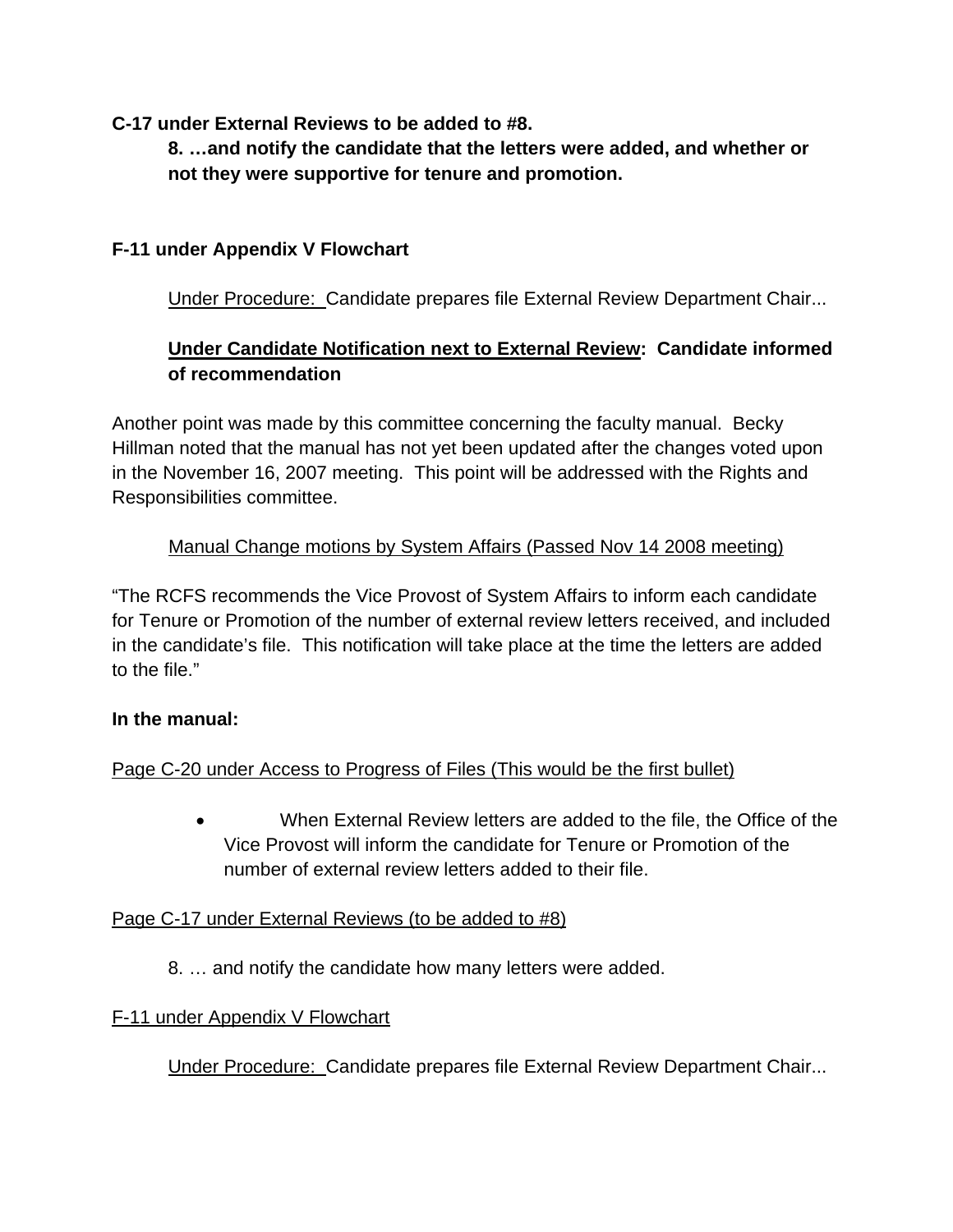**C-17 under External Reviews to be added to #8.** 

**8. …and notify the candidate that the letters were added, and whether or not they were supportive for tenure and promotion.** 

# **F-11 under Appendix V Flowchart**

Under Procedure: Candidate prepares file External Review Department Chair...

# **Under Candidate Notification next to External Review: Candidate informed of recommendation**

Another point was made by this committee concerning the faculty manual. Becky Hillman noted that the manual has not yet been updated after the changes voted upon in the November 16, 2007 meeting. This point will be addressed with the Rights and Responsibilities committee.

# Manual Change motions by System Affairs (Passed Nov 14 2008 meeting)

"The RCFS recommends the Vice Provost of System Affairs to inform each candidate for Tenure or Promotion of the number of external review letters received, and included in the candidate's file. This notification will take place at the time the letters are added to the file."

# **In the manual:**

# Page C-20 under Access to Progress of Files (This would be the first bullet)

• When External Review letters are added to the file, the Office of the Vice Provost will inform the candidate for Tenure or Promotion of the number of external review letters added to their file.

# Page C-17 under External Reviews (to be added to #8)

8. … and notify the candidate how many letters were added.

# F-11 under Appendix V Flowchart

Under Procedure: Candidate prepares file External Review Department Chair...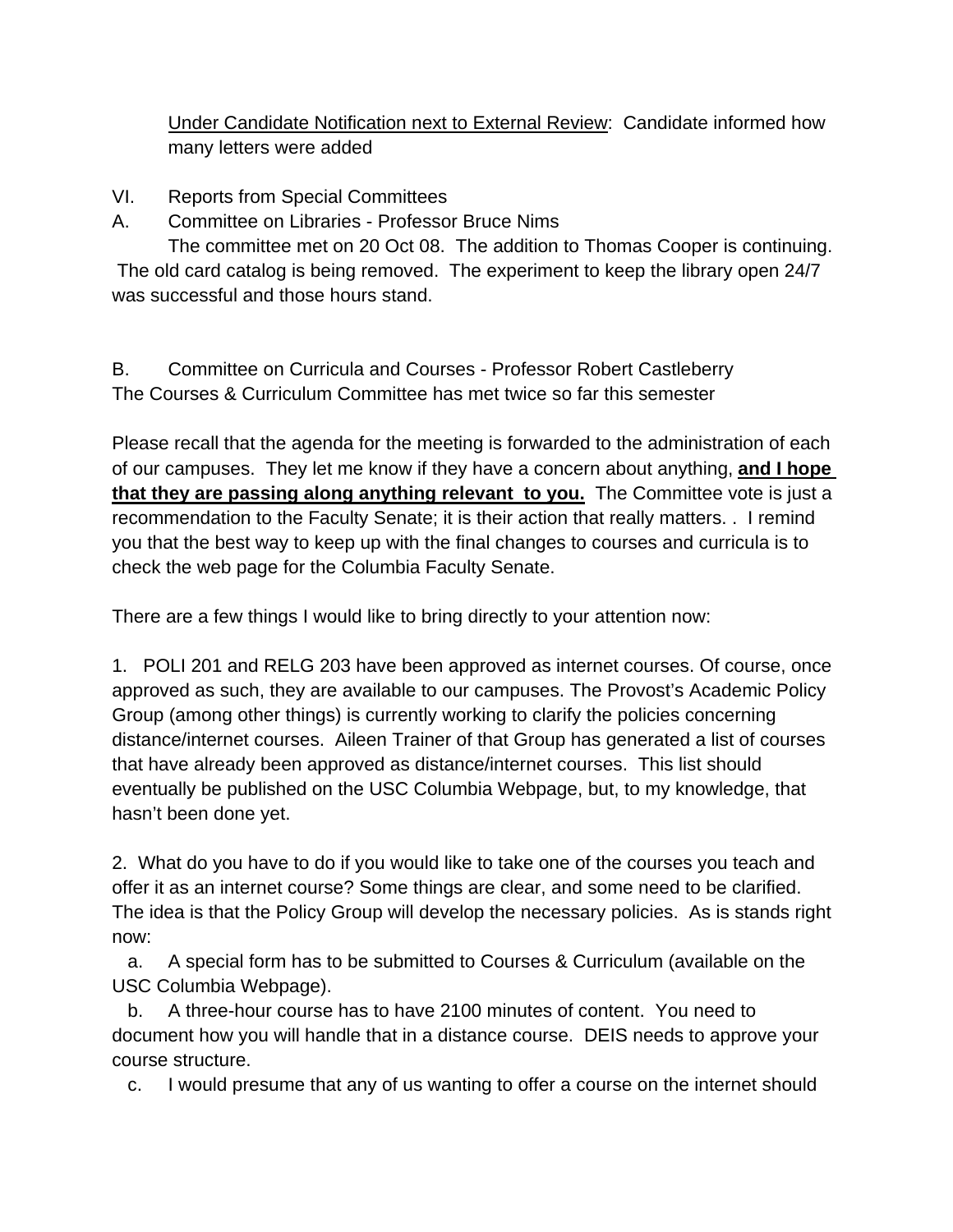Under Candidate Notification next to External Review: Candidate informed how many letters were added

- VI. Reports from Special Committees
- A. Committee on Libraries Professor Bruce Nims

The committee met on 20 Oct 08. The addition to Thomas Cooper is continuing. The old card catalog is being removed. The experiment to keep the library open 24/7 was successful and those hours stand.

B. Committee on Curricula and Courses - Professor Robert Castleberry The Courses & Curriculum Committee has met twice so far this semester

Please recall that the agenda for the meeting is forwarded to the administration of each of our campuses. They let me know if they have a concern about anything, **and I hope that they are passing along anything relevant to you.** The Committee vote is just a recommendation to the Faculty Senate; it is their action that really matters. . I remind you that the best way to keep up with the final changes to courses and curricula is to check the web page for the Columbia Faculty Senate.

There are a few things I would like to bring directly to your attention now:

1. POLI 201 and RELG 203 have been approved as internet courses. Of course, once approved as such, they are available to our campuses. The Provost's Academic Policy Group (among other things) is currently working to clarify the policies concerning distance/internet courses. Aileen Trainer of that Group has generated a list of courses that have already been approved as distance/internet courses. This list should eventually be published on the USC Columbia Webpage, but, to my knowledge, that hasn't been done yet.

2. What do you have to do if you would like to take one of the courses you teach and offer it as an internet course? Some things are clear, and some need to be clarified. The idea is that the Policy Group will develop the necessary policies. As is stands right now:

 a. A special form has to be submitted to Courses & Curriculum (available on the USC Columbia Webpage).

 b. A three-hour course has to have 2100 minutes of content. You need to document how you will handle that in a distance course. DEIS needs to approve your course structure.

c. I would presume that any of us wanting to offer a course on the internet should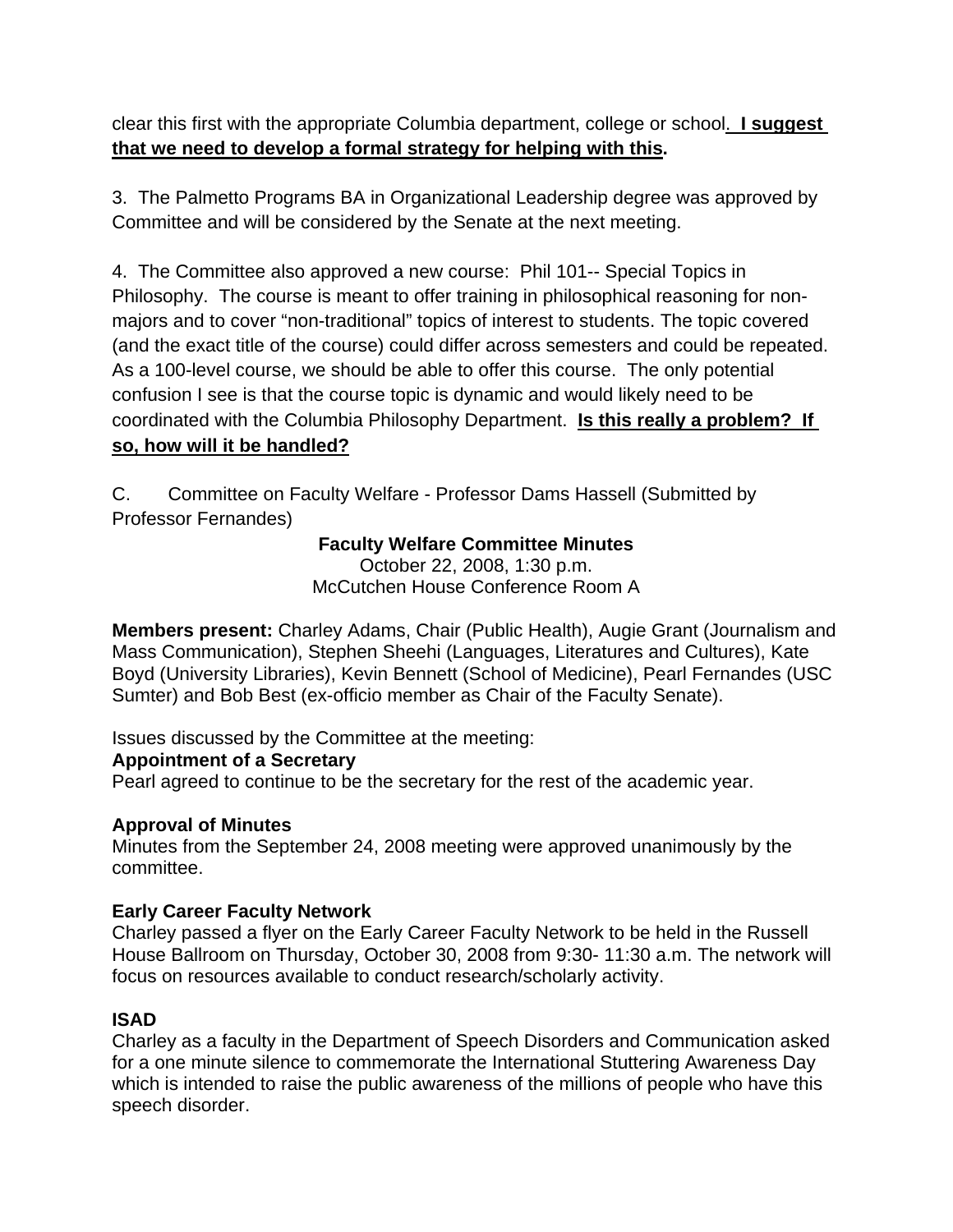clear this first with the appropriate Columbia department, college or school. **I suggest that we need to develop a formal strategy for helping with this.**

3. The Palmetto Programs BA in Organizational Leadership degree was approved by Committee and will be considered by the Senate at the next meeting.

4. The Committee also approved a new course: Phil 101-- Special Topics in Philosophy. The course is meant to offer training in philosophical reasoning for nonmajors and to cover "non-traditional" topics of interest to students. The topic covered (and the exact title of the course) could differ across semesters and could be repeated. As a 100-level course, we should be able to offer this course. The only potential confusion I see is that the course topic is dynamic and would likely need to be coordinated with the Columbia Philosophy Department. **Is this really a problem? If so, how will it be handled?**

C. Committee on Faculty Welfare - Professor Dams Hassell (Submitted by Professor Fernandes)

# **Faculty Welfare Committee Minutes**

October 22, 2008, 1:30 p.m. McCutchen House Conference Room A

**Members present:** Charley Adams, Chair (Public Health), Augie Grant (Journalism and Mass Communication), Stephen Sheehi (Languages, Literatures and Cultures), Kate Boyd (University Libraries), Kevin Bennett (School of Medicine), Pearl Fernandes (USC Sumter) and Bob Best (ex-officio member as Chair of the Faculty Senate).

Issues discussed by the Committee at the meeting:

# **Appointment of a Secretary**

Pearl agreed to continue to be the secretary for the rest of the academic year.

# **Approval of Minutes**

Minutes from the September 24, 2008 meeting were approved unanimously by the committee.

# **Early Career Faculty Network**

Charley passed a flyer on the Early Career Faculty Network to be held in the Russell House Ballroom on Thursday, October 30, 2008 from 9:30- 11:30 a.m. The network will focus on resources available to conduct research/scholarly activity.

# **ISAD**

Charley as a faculty in the Department of Speech Disorders and Communication asked for a one minute silence to commemorate the International Stuttering Awareness Day which is intended to raise the public awareness of the millions of people who have this speech disorder.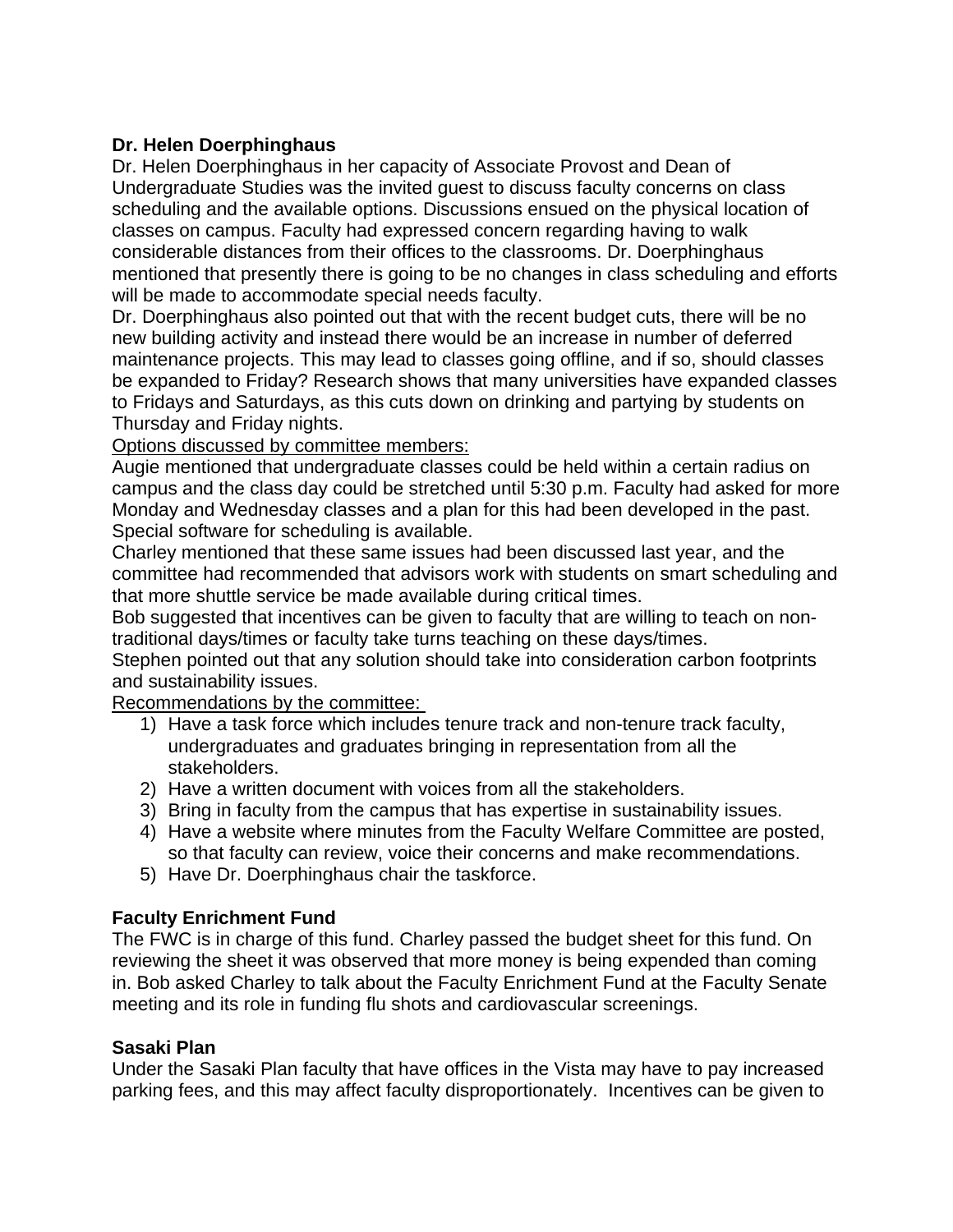### **Dr. Helen Doerphinghaus**

Dr. Helen Doerphinghaus in her capacity of Associate Provost and Dean of Undergraduate Studies was the invited guest to discuss faculty concerns on class scheduling and the available options. Discussions ensued on the physical location of classes on campus. Faculty had expressed concern regarding having to walk considerable distances from their offices to the classrooms. Dr. Doerphinghaus mentioned that presently there is going to be no changes in class scheduling and efforts will be made to accommodate special needs faculty.

Dr. Doerphinghaus also pointed out that with the recent budget cuts, there will be no new building activity and instead there would be an increase in number of deferred maintenance projects. This may lead to classes going offline, and if so, should classes be expanded to Friday? Research shows that many universities have expanded classes to Fridays and Saturdays, as this cuts down on drinking and partying by students on Thursday and Friday nights.

Options discussed by committee members:

Augie mentioned that undergraduate classes could be held within a certain radius on campus and the class day could be stretched until 5:30 p.m. Faculty had asked for more Monday and Wednesday classes and a plan for this had been developed in the past. Special software for scheduling is available.

Charley mentioned that these same issues had been discussed last year, and the committee had recommended that advisors work with students on smart scheduling and that more shuttle service be made available during critical times.

Bob suggested that incentives can be given to faculty that are willing to teach on nontraditional days/times or faculty take turns teaching on these days/times.

Stephen pointed out that any solution should take into consideration carbon footprints and sustainability issues.

Recommendations by the committee:

- 1) Have a task force which includes tenure track and non-tenure track faculty, undergraduates and graduates bringing in representation from all the stakeholders.
- 2) Have a written document with voices from all the stakeholders.
- 3) Bring in faculty from the campus that has expertise in sustainability issues.
- 4) Have a website where minutes from the Faculty Welfare Committee are posted, so that faculty can review, voice their concerns and make recommendations.
- 5) Have Dr. Doerphinghaus chair the taskforce.

# **Faculty Enrichment Fund**

The FWC is in charge of this fund. Charley passed the budget sheet for this fund. On reviewing the sheet it was observed that more money is being expended than coming in. Bob asked Charley to talk about the Faculty Enrichment Fund at the Faculty Senate meeting and its role in funding flu shots and cardiovascular screenings.

### **Sasaki Plan**

Under the Sasaki Plan faculty that have offices in the Vista may have to pay increased parking fees, and this may affect faculty disproportionately. Incentives can be given to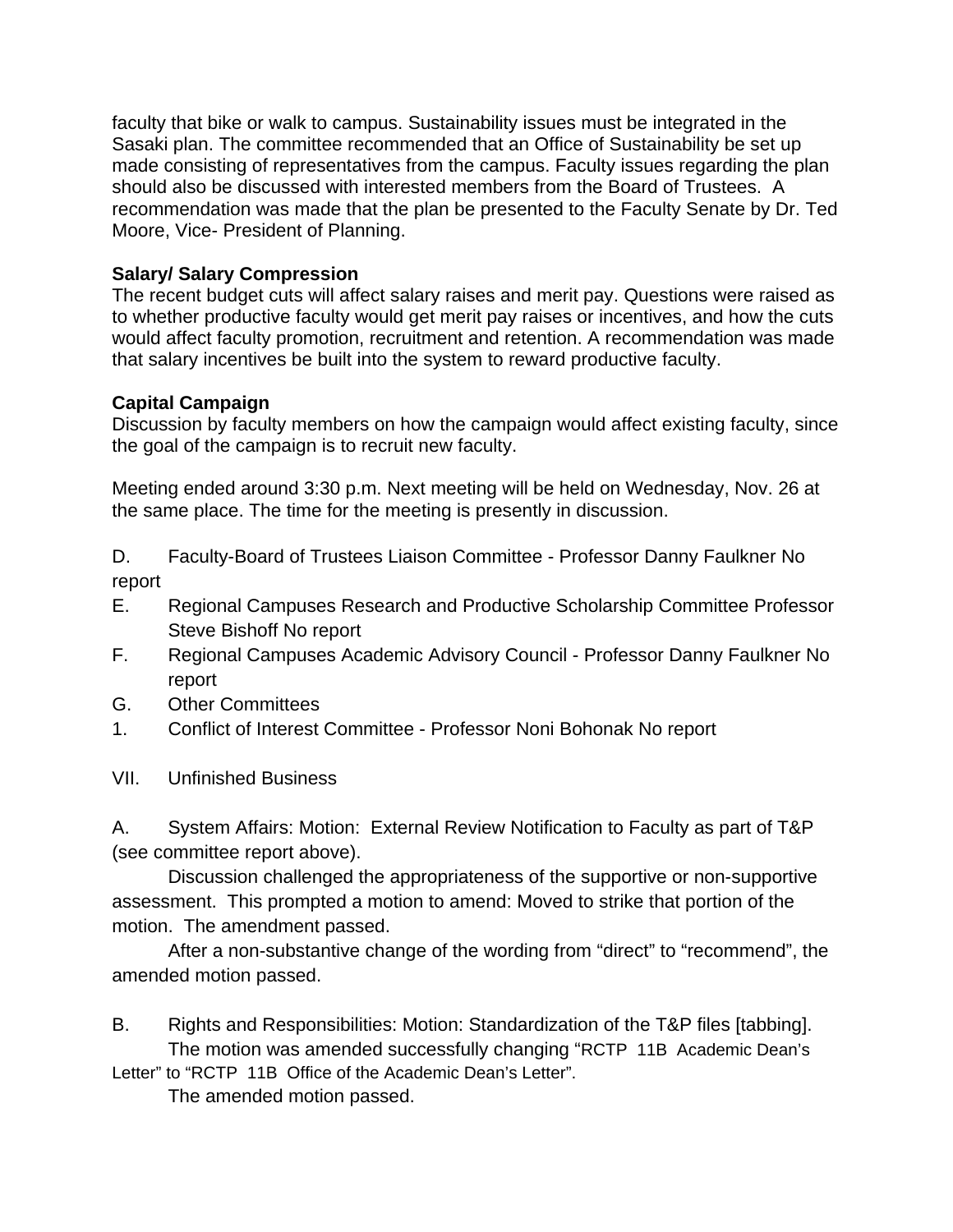faculty that bike or walk to campus. Sustainability issues must be integrated in the Sasaki plan. The committee recommended that an Office of Sustainability be set up made consisting of representatives from the campus. Faculty issues regarding the plan should also be discussed with interested members from the Board of Trustees. A recommendation was made that the plan be presented to the Faculty Senate by Dr. Ted Moore, Vice- President of Planning.

# **Salary/ Salary Compression**

The recent budget cuts will affect salary raises and merit pay. Questions were raised as to whether productive faculty would get merit pay raises or incentives, and how the cuts would affect faculty promotion, recruitment and retention. A recommendation was made that salary incentives be built into the system to reward productive faculty.

# **Capital Campaign**

Discussion by faculty members on how the campaign would affect existing faculty, since the goal of the campaign is to recruit new faculty.

Meeting ended around 3:30 p.m. Next meeting will be held on Wednesday, Nov. 26 at the same place. The time for the meeting is presently in discussion.

D. Faculty-Board of Trustees Liaison Committee - Professor Danny Faulkner No report

- E. Regional Campuses Research and Productive Scholarship Committee Professor Steve Bishoff No report
- F. Regional Campuses Academic Advisory Council Professor Danny Faulkner No report
- G. Other Committees
- 1. Conflict of Interest Committee Professor Noni Bohonak No report
- VII. Unfinished Business

A. System Affairs: Motion: External Review Notification to Faculty as part of T&P (see committee report above).

Discussion challenged the appropriateness of the supportive or non-supportive assessment. This prompted a motion to amend: Moved to strike that portion of the motion. The amendment passed.

After a non-substantive change of the wording from "direct" to "recommend", the amended motion passed.

B. Rights and Responsibilities: Motion: Standardization of the T&P files [tabbing]. The motion was amended successfully changing "RCTP 11B Academic Dean's

Letter" to "RCTP 11B Office of the Academic Dean's Letter". The amended motion passed.